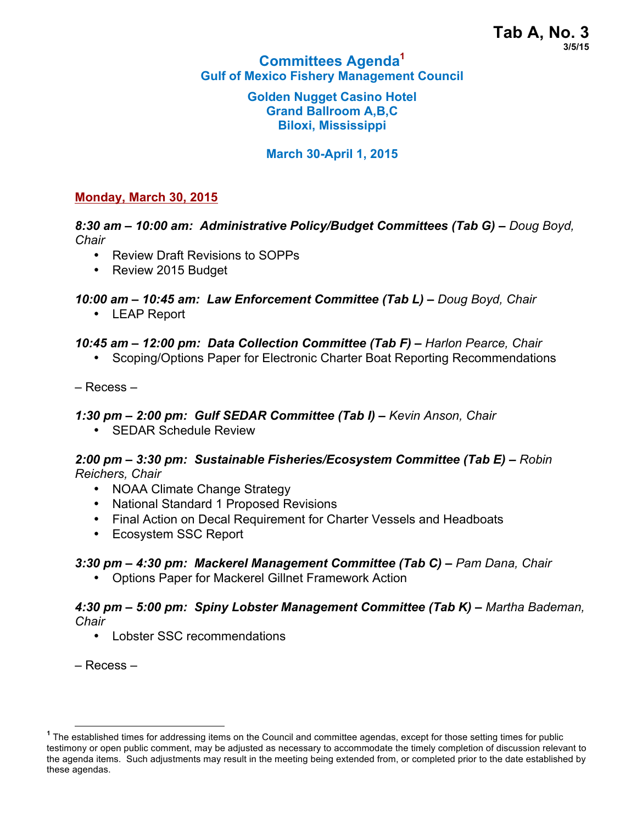## **Committees Agenda<sup>1</sup> Gulf of Mexico Fishery Management Council**

#### **Golden Nugget Casino Hotel Grand Ballroom A,B,C Biloxi, Mississippi**

## **March 30-April 1, 2015**

### **Monday, March 30, 2015**

*8:30 am – 10:00 am: Administrative Policy/Budget Committees (Tab G) – Doug Boyd, Chair*

- Review Draft Revisions to SOPPs
- Review 2015 Budget

## *10:00 am – 10:45 am: Law Enforcement Committee (Tab L) – Doug Boyd, Chair*

• LEAP Report

### *10:45 am – 12:00 pm: Data Collection Committee (Tab F) – Harlon Pearce, Chair*

• Scoping/Options Paper for Electronic Charter Boat Reporting Recommendations

– Recess –

### *1:30 pm – 2:00 pm: Gulf SEDAR Committee (Tab I) – Kevin Anson, Chair*

• SEDAR Schedule Review

### *2:00 pm – 3:30 pm: Sustainable Fisheries/Ecosystem Committee (Tab E) – Robin Reichers, Chair*

- NOAA Climate Change Strategy
- National Standard 1 Proposed Revisions
- Final Action on Decal Requirement for Charter Vessels and Headboats
- Ecosystem SSC Report

# *3:30 pm – 4:30 pm: Mackerel Management Committee (Tab C) – Pam Dana, Chair*

• Options Paper for Mackerel Gillnet Framework Action

*4:30 pm – 5:00 pm: Spiny Lobster Management Committee (Tab K) – Martha Bademan, Chair*

• Lobster SSC recommendations

– Recess –

**<sup>1</sup>** The established times for addressing items on the Council and committee agendas, except for those setting times for public testimony or open public comment, may be adjusted as necessary to accommodate the timely completion of discussion relevant to the agenda items. Such adjustments may result in the meeting being extended from, or completed prior to the date established by these agendas.